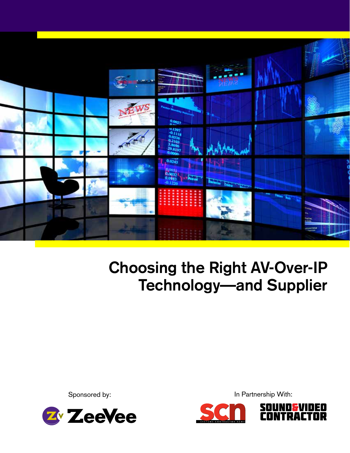

# **Choosing the Right AV-Over-IP Technology—and Supplier**

Sponsored by:



In Partnership With:



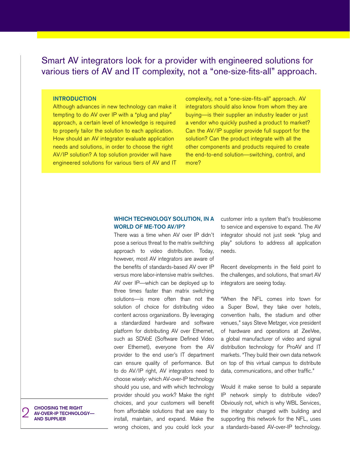# Smart AV integrators look for a provider with engineered solutions for various tiers of AV and IT complexity, not a "one-size-fits-all" approach.

## **INTRODUCTION**

Although advances in new technology can make it tempting to do AV over IP with a "plug and play" approach, a certain level of knowledge is required to properly tailor the solution to each application. How should an AV integrator evaluate application needs and solutions, in order to choose the right AV/IP solution? A top solution provider will have engineered solutions for various tiers of AV and IT

complexity, not a "one-size-fits-all" approach. AV integrators should also know from whom they are buying—is their supplier an industry leader or just a vendor who quickly pushed a product to market? Can the AV/IP supplier provide full support for the solution? Can the product integrate with all the other components and products required to create the end-to-end solution—switching, control, and more?

## **Which Technology Solution, in a World of Me-Too AV/IP?**

There was a time when AV over IP didn't pose a serious threat to the matrix switching approach to video distribution. Today, however, most AV integrators are aware of the benefits of standards-based AV over IP versus more labor-intensive matrix switches. AV over IP—which can be deployed up to three times faster than matrix switching solutions—is more often than not the solution of choice for distributing video content across organizations. By leveraging a standardized hardware and software platform for distributing AV over Ethernet, such as SDVoE (Software Defined Video over Ethernet), everyone from the AV provider to the end user's IT department can ensure quality of performance. But to do AV/IP right, AV integrators need to choose wisely: which AV-over-IP technology should you use, and with which technology provider should you work? Make the right choices, and your customers will benefit from affordable solutions that are easy to install, maintain, and expand. Make the wrong choices, and you could lock your customer into a system that's troublesome to service and expensive to expand. The AV integrator should not just seek "plug and play" solutions to address all application needs.

Recent developments in the field point to the challenges, and solutions, that smart AV integrators are seeing today.

"When the NFL comes into town for a Super Bowl, they take over hotels, convention halls, the stadium and other venues," says Steve Metzger, vice president of hardware and operations at ZeeVee, a global manufacturer of video and signal distribution technology for ProAV and IT markets. "They build their own data network on top of this virtual campus to distribute data, communications, and other traffic."

Would it make sense to build a separate IP network simply to distribute video? Obviously not, which is why WBL Services, the integrator charged with building and supporting this network for the NFL, uses a standards-based AV-over-IP technology.

2 **Choosing the Right AV-Over-IP Technology and Supplier**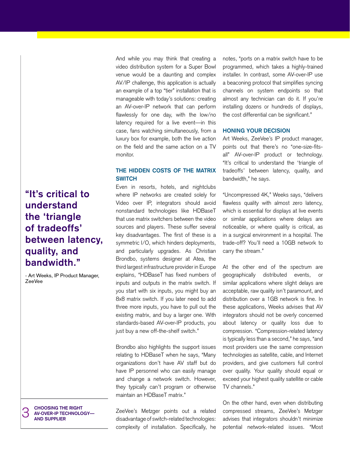**"It's critical to understand the 'triangle of tradeoffs' between latency, quality, and bandwidth."**

- Art Weeks, IP Product Manager, ZeeVee

3 **Choosing the Right AV-Over-IP Technology and Supplier**

And while you may think that creating a video distribution system for a Super Bowl venue would be a daunting and complex AV/IP challenge, this application is actually an example of a top "tier" installation that is manageable with today's solutions: creating an AV-over-IP network that can perform flawlessly for one day, with the low/no latency required for a live event—in this case, fans watching simultaneously, from a luxury box for example, both the live action on the field and the same action on a TV monitor.

# **The Hidden Costs of the Matrix Switch**

Even in resorts, hotels, and nightclubs where IP networks are created solely for Video over IP, integrators should avoid nonstandard technologies like HDBaseT that use matrix switchers between the video sources and players. These suffer several key disadvantages. The first of these is a symmetric I/O, which hinders deployments, and particularly upgrades. As Christian Brondbo, systems designer at Atea, the third largest infrastructure provider in Europe explains, "HDBaseT has fixed numbers of inputs and outputs in the matrix switch. If you start with six inputs, you might buy an 8x8 matrix switch. If you later need to add three more inputs, you have to pull out the existing matrix, and buy a larger one. With standards-based AV-over-IP products, you just buy a new off-the-shelf switch."

Brondbo also highlights the support issues relating to HDBaseT when he says, "Many organizations don't have AV staff but do have IP personnel who can easily manage and change a network switch. However, they typically can't program or otherwise maintain an HDBaseT matrix."

ZeeVee's Metzger points out a related disadvantage of switch-related technologies: complexity of installation. Specifically, he notes, "ports on a matrix switch have to be programmed, which takes a highly-trained installer. In contrast, some AV-over-IP use a beaconing protocol that simplifies syncing channels on system endpoints so that almost any technician can do it. If you're installing dozens or hundreds of displays, the cost differential can be significant."

#### **Honing Your Decision**

Art Weeks, ZeeVee's IP product manager, points out that there's no "one-size-fitsall" AV-over-IP product or technology. "It's critical to understand the 'triangle of tradeoffs' between latency, quality, and bandwidth," he says.

"Uncompressed 4K," Weeks says, "delivers flawless quality with almost zero latency, which is essential for displays at live events or similar applications where delays are noticeable, or where quality is critical, as in a surgical environment in a hospital. The trade-off? You'll need a 10GB network to carry the stream."

At the other end of the spectrum are geographically distributed events, or similar applications where slight delays are acceptable, raw quality isn't paramount, and distribution over a 1GB network is fine. In these applications, Weeks advises that AV integrators should not be overly concerned about latency or quality loss due to compression. "Compression-related latency is typically less than a second," he says, "and most providers use the same compression technologies as satellite, cable, and Internet providers, and give customers full control over quality. Your quality should equal or exceed your highest quality satellite or cable TV channels."

On the other hand, even when distributing compressed streams, ZeeVee's Metzger advises that integrators shouldn't minimize potential network-related issues. "Most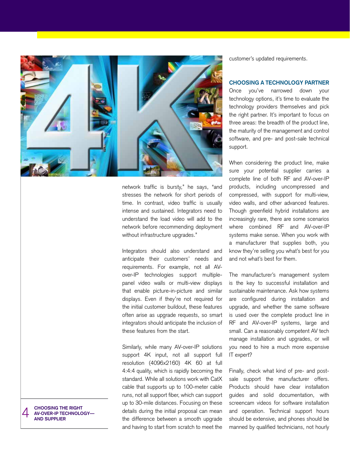

network traffic is bursty," he says, "and stresses the network for short periods of time. In contrast, video traffic is usually intense and sustained. Integrators need to understand the load video will add to the network before recommending deployment without infrastructure upgrades."

Integrators should also understand and anticipate their customers' needs and requirements. For example, not all AVover-IP technologies support multiplepanel video walls or multi-view displays that enable picture-in-picture and similar displays. Even if they're not required for the initial customer buildout, these features often arise as upgrade requests, so smart integrators should anticipate the inclusion of these features from the start.

Similarly, while many AV-over-IP solutions support 4K input, not all support full resolution (4096x2160) 4K 60 at full 4:4:4 quality, which is rapidly becoming the standard. While all solutions work with CatX cable that supports up to 100-meter cable runs, not all support fiber, which can support up to 30-mile distances. Focusing on these details during the initial proposal can mean the difference between a smooth upgrade and having to start from scratch to meet the

customer's updated requirements.

# **Choosing a Technology Partner**

Once you've narrowed down your technology options, it's time to evaluate the technology providers themselves and pick the right partner. It's important to focus on three areas: the breadth of the product line, the maturity of the management and control software, and pre- and post-sale technical support.

When considering the product line, make sure your potential supplier carries a complete line of both RF and AV-over-IP products, including uncompressed and compressed, with support for multi-view, video walls, and other advanced features. Though greenfield hybrid installations are increasingly rare, there are some scenarios where combined RF and AV-over-IP systems make sense. When you work with a manufacturer that supplies both, you know they're selling you what's best for you and not what's best for them.

The manufacturer's management system is the key to successful installation and sustainable maintenance. Ask how systems are configured during installation and upgrade, and whether the same software is used over the complete product line in RF and AV-over-IP systems, large and small. Can a reasonably competent AV tech manage installation and upgrades, or will you need to hire a much more expensive IT expert?

Finally, check what kind of pre- and postsale support the manufacturer offers. Products should have clear installation guides and solid documentation, with screencam videos for software installation and operation. Technical support hours should be extensive, and phones should be manned by qualified technicians, not hourly

4 **Choosing the Right AV-Over-IP Technology and Supplier**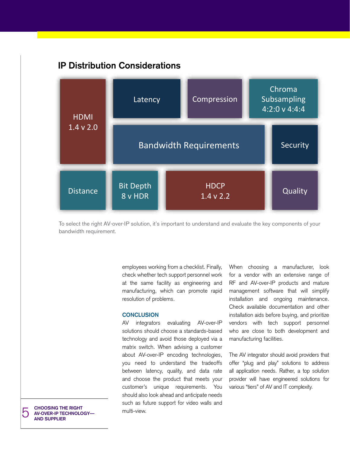# **IP Distribution Considerations**



To select the right AV-over-IP solution, it's important to understand and evaluate the key components of your bandwidth requirement.

> employees working from a checklist. Finally, check whether tech support personnel work at the same facility as engineering and manufacturing, which can promote rapid resolution of problems.

## **Conclusion**

AV integrators evaluating AV-over-IP solutions should choose a standards-based technology and avoid those deployed via a matrix switch. When advising a customer about AV-over-IP encoding technologies, you need to understand the tradeoffs between latency, quality, and data rate and choose the product that meets your customer's unique requirements. You should also look ahead and anticipate needs such as future support for video walls and multi-view.

When choosing a manufacturer, look for a vendor with an extensive range of RF and AV-over-IP products and mature management software that will simplify installation and ongoing maintenance. Check available documentation and other installation aids before buying, and prioritize vendors with tech support personnel who are close to both development and manufacturing facilities.

The AV integrator should avoid providers that offer "plug and play" solutions to address all application needs. Rather, a top solution provider will have engineered solutions for various "tiers" of AV and IT complexity.

**CHOOSING THE RIGHT<br>
AV-OVER-IP TECHNOLOGY-**<br>
AND SUPPLIER **and Supplier**